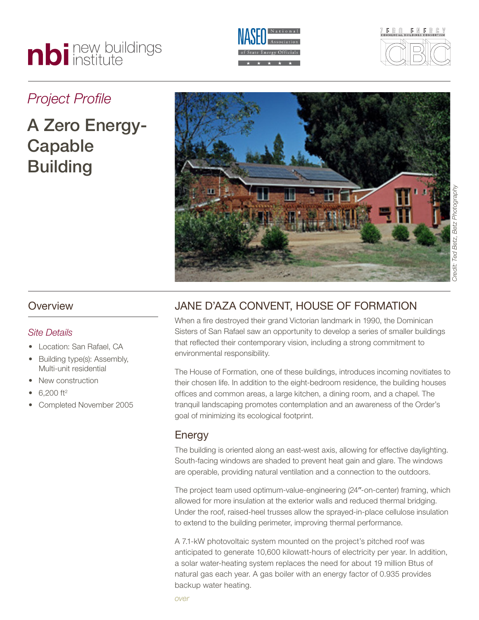# nbi new buildings





## *Project Profile*

# A Zero Energy-Capable **Building**



#### **Overview**

#### *Site Details*

- Location: San Rafael, CA
- Building type(s): Assembly, Multi-unit residential
- New construction
- $6,200$  ft<sup>2</sup>
- Completed November 2005

### Jane D'Aza Convent, House of Formation

When a fire destroyed their grand Victorian landmark in 1990, the Dominican Sisters of San Rafael saw an opportunity to develop a series of smaller buildings that reflected their contemporary vision, including a strong commitment to environmental responsibility.

The House of Formation, one of these buildings, introduces incoming novitiates to their chosen life. In addition to the eight-bedroom residence, the building houses offices and common areas, a large kitchen, a dining room, and a chapel. The tranquil landscaping promotes contemplation and an awareness of the Order's goal of minimizing its ecological footprint.

#### **Energy**

The building is oriented along an east-west axis, allowing for effective daylighting. South-facing windows are shaded to prevent heat gain and glare. The windows are operable, providing natural ventilation and a connection to the outdoors.

The project team used optimum-value-engineering (24″-on-center) framing, which allowed for more insulation at the exterior walls and reduced thermal bridging. Under the roof, raised-heel trusses allow the sprayed-in-place cellulose insulation to extend to the building perimeter, improving thermal performance.

A 7.1-kW photovoltaic system mounted on the project's pitched roof was anticipated to generate 10,600 kilowatt-hours of electricity per year. In addition, a solar water-heating system replaces the need for about 19 million Btus of natural gas each year. A gas boiler with an energy factor of 0.935 provides backup water heating.